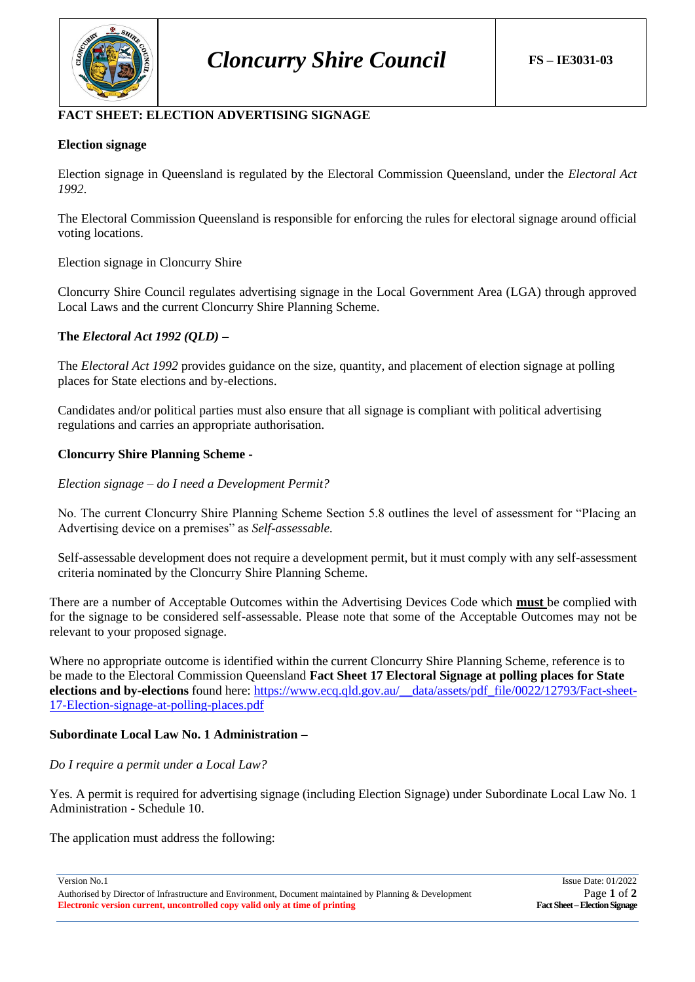

# **FACT SHEET: ELECTION ADVERTISING SIGNAGE**

# **Election signage**

Election signage in Queensland is regulated by the Electoral Commission Queensland, under the *Electoral Act 1992*.

The Electoral Commission Queensland is responsible for enforcing the rules for electoral signage around official voting locations.

Election signage in Cloncurry Shire

Cloncurry Shire Council regulates advertising signage in the Local Government Area (LGA) through approved Local Laws and the current Cloncurry Shire Planning Scheme.

# **The** *Electoral Act 1992 (QLD)* **–**

The *Electoral Act 1992* provides guidance on the size, quantity, and placement of election signage at polling places for State elections and by-elections.

Candidates and/or political parties must also ensure that all signage is compliant with political advertising regulations and carries an appropriate authorisation.

# **Cloncurry Shire Planning Scheme -**

*Election signage – do I need a Development Permit?*

No. The current Cloncurry Shire Planning Scheme Section 5.8 outlines the level of assessment for "Placing an Advertising device on a premises" as *Self-assessable.*

Self-assessable development does not require a development permit, but it must comply with any self-assessment criteria nominated by the Cloncurry Shire Planning Scheme.

There are a number of Acceptable Outcomes within the Advertising Devices Code which **must** be complied with for the signage to be considered self-assessable. Please note that some of the Acceptable Outcomes may not be relevant to your proposed signage.

Where no appropriate outcome is identified within the current Cloncurry Shire Planning Scheme, reference is to be made to the Electoral Commission Queensland **Fact Sheet 17 Electoral Signage at polling places for State elections and by-elections** found here: [https://www.ecq.qld.gov.au/\\_\\_data/assets/pdf\\_file/0022/12793/Fact-sheet-](https://www.ecq.qld.gov.au/__data/assets/pdf_file/0022/12793/Fact-sheet-17-Election-signage-at-polling-places.pdf)[17-Election-signage-at-polling-places.pdf](https://www.ecq.qld.gov.au/__data/assets/pdf_file/0022/12793/Fact-sheet-17-Election-signage-at-polling-places.pdf)

# **Subordinate Local Law No. 1 Administration –**

### *Do I require a permit under a Local Law?*

Yes. A permit is required for advertising signage (including Election Signage) under Subordinate Local Law No. 1 Administration - Schedule 10.

The application must address the following:

Authorised by Director of Infrastructure and Environment, Document maintained by Planning & Development Page 1 of 2<br>**Electronic version current, uncontrolled copy valid only at time of printing Fact Sheet-Election Signage Electronic version current, uncontrolled copy valid only at time of printing** 

Version No.1 Issue Date: 01/2022